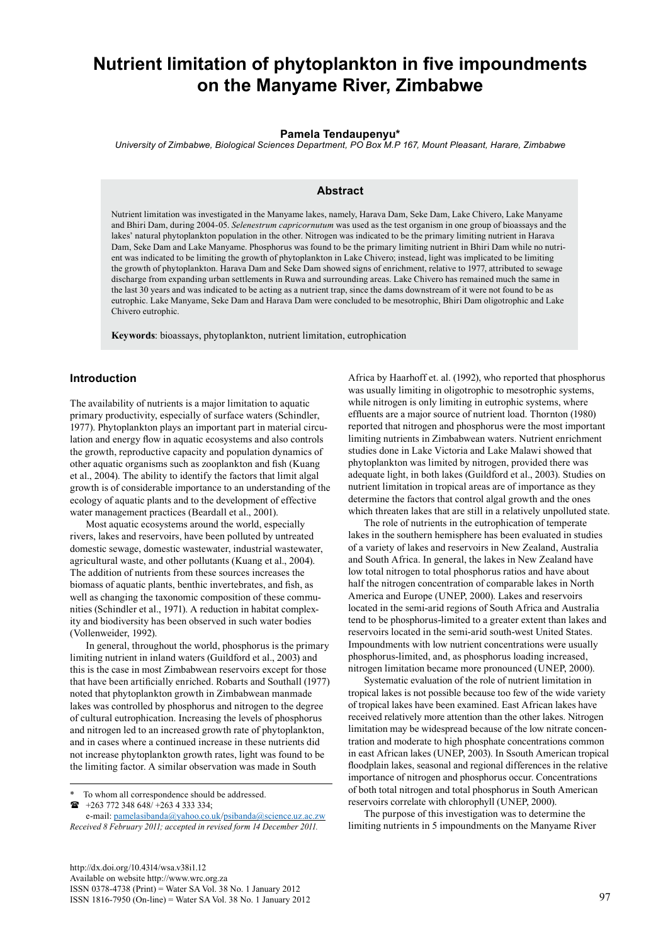# **Nutrient limitation of phytoplankton in five impoundments on the Manyame River, Zimbabwe**

## **Pamela Tendaupenyu\***

*University of Zimbabwe, Biological Sciences Department, PO Box M.P 167, Mount Pleasant, Harare, Zimbabwe*

## **Abstract**

Nutrient limitation was investigated in the Manyame lakes, namely, Harava Dam, Seke Dam, Lake Chivero, Lake Manyame and Bhiri Dam, during 2004-05. *Selenestrum capricornutum* was used as the test organism in one group of bioassays and the lakes' natural phytoplankton population in the other. Nitrogen was indicated to be the primary limiting nutrient in Harava Dam, Seke Dam and Lake Manyame. Phosphorus was found to be the primary limiting nutrient in Bhiri Dam while no nutrient was indicated to be limiting the growth of phytoplankton in Lake Chivero; instead, light was implicated to be limiting the growth of phytoplankton. Harava Dam and Seke Dam showed signs of enrichment, relative to 1977, attributed to sewage discharge from expanding urban settlements in Ruwa and surrounding areas. Lake Chivero has remained much the same in the last 30 years and was indicated to be acting as a nutrient trap, since the dams downstream of it were not found to be as eutrophic. Lake Manyame, Seke Dam and Harava Dam were concluded to be mesotrophic, Bhiri Dam oligotrophic and Lake Chivero eutrophic.

**Keywords**: bioassays, phytoplankton, nutrient limitation, eutrophication

## **Introduction**

The availability of nutrients is a major limitation to aquatic primary productivity, especially of surface waters (Schindler, 1977). Phytoplankton plays an important part in material circulation and energy flow in aquatic ecosystems and also controls the growth, reproductive capacity and population dynamics of other aquatic organisms such as zooplankton and fish (Kuang et al., 2004). The ability to identify the factors that limit algal growth is of considerable importance to an understanding of the ecology of aquatic plants and to the development of effective water management practices (Beardall et al., 2001).

Most aquatic ecosystems around the world, especially rivers, lakes and reservoirs, have been polluted by untreated domestic sewage, domestic wastewater, industrial wastewater, agricultural waste, and other pollutants (Kuang et al., 2004). The addition of nutrients from these sources increases the biomass of aquatic plants, benthic invertebrates, and fish, as well as changing the taxonomic composition of these communities (Schindler et al., 1971). A reduction in habitat complexity and biodiversity has been observed in such water bodies (Vollenweider, 1992).

In general, throughout the world, phosphorus is the primary limiting nutrient in inland waters (Guildford et al., 2003) and this is the case in most Zimbabwean reservoirs except for those that have been artificially enriched. Robarts and Southall (1977) noted that phytoplankton growth in Zimbabwean manmade lakes was controlled by phosphorus and nitrogen to the degree of cultural eutrophication. Increasing the levels of phosphorus and nitrogen led to an increased growth rate of phytoplankton, and in cases where a continued increase in these nutrients did not increase phytoplankton growth rates, light was found to be the limiting factor. A similar observation was made in South

To whom all correspondence should be addressed.  $\bullet$  +263 772 348 648/ +263 4 333 334;

e-mail: [pamelasibanda@yahoo.co.uk](mailto:e-mail: pamelasibanda@yahoo.co.uk)[/psibanda@science.uz.ac.zw](mailto:psibanda@science.uz.ac.zw) *Received 8 February 2011; accepted in revised form 14 December 2011.*

[http://dx.doi.org/10.4314/wsa.v38i1.12](http://dx.doi.org/10.4314/wsa.v37i4.18) Available on website http://www.wrc.org.za ISSN 0378-4738 (Print) = Water SA Vol. 38 No. 1 January 2012 ISSN 1816-7950 (On-line) = Water SA Vol. 38 No. 1 January 2012 97

Africa by Haarhoff et. al. (1992), who reported that phosphorus was usually limiting in oligotrophic to mesotrophic systems, while nitrogen is only limiting in eutrophic systems, where effluents are a major source of nutrient load. Thornton (1980) reported that nitrogen and phosphorus were the most important limiting nutrients in Zimbabwean waters. Nutrient enrichment studies done in Lake Victoria and Lake Malawi showed that phytoplankton was limited by nitrogen, provided there was adequate light, in both lakes (Guildford et al., 2003). Studies on nutrient limitation in tropical areas are of importance as they determine the factors that control algal growth and the ones which threaten lakes that are still in a relatively unpolluted state.

The role of nutrients in the eutrophication of temperate lakes in the southern hemisphere has been evaluated in studies of a variety of lakes and reservoirs in New Zealand, Australia and South Africa. In general, the lakes in New Zealand have low total nitrogen to total phosphorus ratios and have about half the nitrogen concentration of comparable lakes in North America and Europe (UNEP, 2000). Lakes and reservoirs located in the semi-arid regions of South Africa and Australia tend to be phosphorus-limited to a greater extent than lakes and reservoirs located in the semi-arid south-west United States. Impoundments with low nutrient concentrations were usually phosphorus-limited, and, as phosphorus loading increased, nitrogen limitation became more pronounced (UNEP, 2000).

Systematic evaluation of the role of nutrient limitation in tropical lakes is not possible because too few of the wide variety of tropical lakes have been examined. East African lakes have received relatively more attention than the other lakes. Nitrogen limitation may be widespread because of the low nitrate concentration and moderate to high phosphate concentrations common in east African lakes (UNEP, 2003). In Ssouth American tropical floodplain lakes, seasonal and regional differences in the relative importance of nitrogen and phosphorus occur. Concentrations of both total nitrogen and total phosphorus in South American reservoirs correlate with chlorophyll (UNEP, 2000).

The purpose of this investigation was to determine the limiting nutrients in 5 impoundments on the Manyame River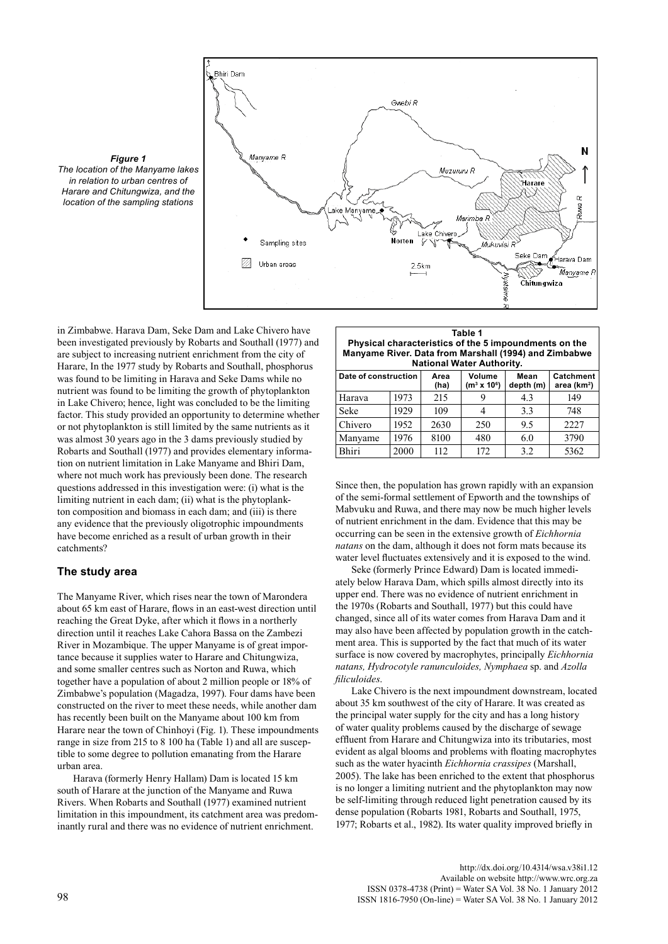



in Zimbabwe. Harava Dam, Seke Dam and Lake Chivero have been investigated previously by Robarts and Southall (1977) and are subject to increasing nutrient enrichment from the city of Harare, In the 1977 study by Robarts and Southall, phosphorus was found to be limiting in Harava and Seke Dams while no nutrient was found to be limiting the growth of phytoplankton in Lake Chivero; hence, light was concluded to be the limiting factor. This study provided an opportunity to determine whether or not phytoplankton is still limited by the same nutrients as it was almost 30 years ago in the 3 dams previously studied by Robarts and Southall (1977) and provides elementary information on nutrient limitation in Lake Manyame and Bhiri Dam, where not much work has previously been done. The research questions addressed in this investigation were: (i) what is the limiting nutrient in each dam; (ii) what is the phytoplankton composition and biomass in each dam; and (iii) is there any evidence that the previously oligotrophic impoundments have become enriched as a result of urban growth in their catchments?

## **The study area**

The Manyame River, which rises near the town of Marondera about 65 km east of Harare, flows in an east-west direction until reaching the Great Dyke, after which it flows in a northerly direction until it reaches Lake Cahora Bassa on the Zambezi River in Mozambique. The upper Manyame is of great importance because it supplies water to Harare and Chitungwiza, and some smaller centres such as Norton and Ruwa, which together have a population of about 2 million people or 18% of Zimbabwe's population (Magadza, 1997). Four dams have been constructed on the river to meet these needs, while another dam has recently been built on the Manyame about 100 km from Harare near the town of Chinhoyi (Fig. 1). These impoundments range in size from 215 to 8 100 ha (Table 1) and all are susceptible to some degree to pollution emanating from the Harare urban area.

Harava (formerly Henry Hallam) Dam is located 15 km south of Harare at the junction of the Manyame and Ruwa Rivers. When Robarts and Southall (1977) examined nutrient limitation in this impoundment, its catchment area was predominantly rural and there was no evidence of nutrient enrichment.

| Table 1<br>Physical characteristics of the 5 impoundments on the<br>Manyame River. Data from Marshall (1994) and Zimbabwe<br><b>National Water Authority.</b> |      |              |                               |                                                                  |      |  |  |  |
|---------------------------------------------------------------------------------------------------------------------------------------------------------------|------|--------------|-------------------------------|------------------------------------------------------------------|------|--|--|--|
| Date of construction                                                                                                                                          |      | Area<br>(ha) | Volume<br>$(m^3 \times 10^6)$ | <b>Catchment</b><br>Mean<br>depth (m)<br>area (km <sup>2</sup> ) |      |  |  |  |
| Harava                                                                                                                                                        | 1973 | 215          |                               | 4.3                                                              | 149  |  |  |  |
| Seke                                                                                                                                                          | 1929 | 109          |                               | 3.3                                                              | 748  |  |  |  |
| Chivero                                                                                                                                                       | 1952 | 2630         | 250                           | 9.5                                                              | 2227 |  |  |  |
| Manyame                                                                                                                                                       | 1976 | 8100         | 480                           | 6.0                                                              | 3790 |  |  |  |
| <b>Bhiri</b>                                                                                                                                                  | 2000 | 112          | 172                           | 3.2                                                              | 5362 |  |  |  |

Since then, the population has grown rapidly with an expansion of the semi-formal settlement of Epworth and the townships of Mabvuku and Ruwa, and there may now be much higher levels of nutrient enrichment in the dam. Evidence that this may be occurring can be seen in the extensive growth of *Eichhornia natans* on the dam, although it does not form mats because its water level fluctuates extensively and it is exposed to the wind.

Seke (formerly Prince Edward) Dam is located immediately below Harava Dam, which spills almost directly into its upper end. There was no evidence of nutrient enrichment in the 1970s (Robarts and Southall, 1977) but this could have changed, since all of its water comes from Harava Dam and it may also have been affected by population growth in the catchment area. This is supported by the fact that much of its water surface is now covered by macrophytes, principally *Eichhornia natans, Hydrocotyle ranunculoides, Nymphaea* sp. and *Azolla filiculoides*.

Lake Chivero is the next impoundment downstream, located about 35 km southwest of the city of Harare. It was created as the principal water supply for the city and has a long history of water quality problems caused by the discharge of sewage effluent from Harare and Chitungwiza into its tributaries, most evident as algal blooms and problems with floating macrophytes such as the water hyacinth *Eichhornia crassipes* (Marshall, 2005). The lake has been enriched to the extent that phosphorus is no longer a limiting nutrient and the phytoplankton may now be self-limiting through reduced light penetration caused by its dense population (Robarts 1981, Robarts and Southall, 1975, 1977; Robarts et al., 1982). Its water quality improved briefly in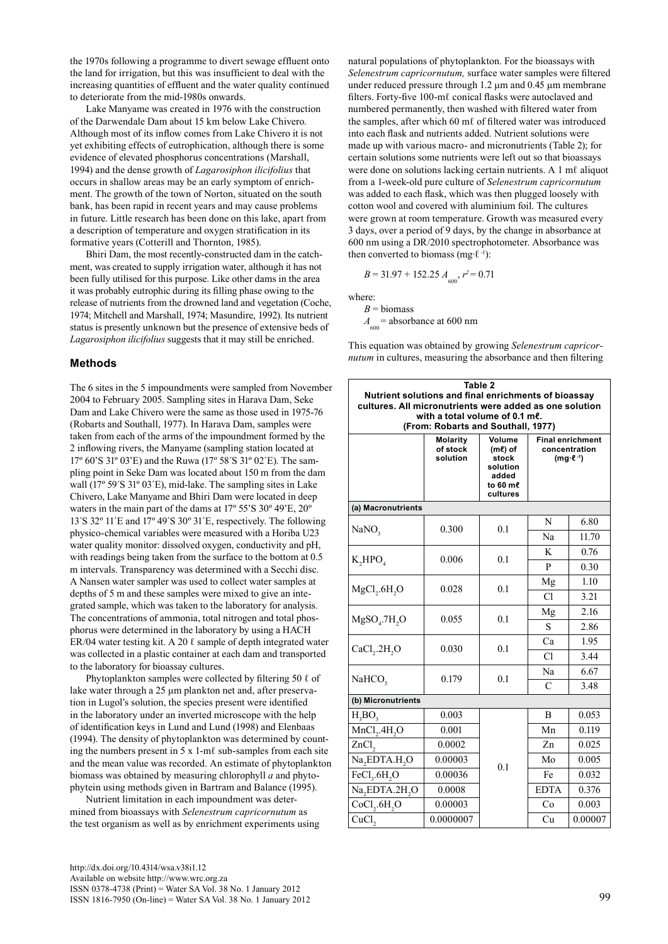the 1970s following a programme to divert sewage effluent onto the land for irrigation, but this was insufficient to deal with the increasing quantities of effluent and the water quality continued to deteriorate from the mid-1980s onwards.

Lake Manyame was created in 1976 with the construction of the Darwendale Dam about 15 km below Lake Chivero. Although most of its inflow comes from Lake Chivero it is not yet exhibiting effects of eutrophication, although there is some evidence of elevated phosphorus concentrations (Marshall, 1994) and the dense growth of *Lagarosiphon ilicifolius* that occurs in shallow areas may be an early symptom of enrichment. The growth of the town of Norton, situated on the south bank, has been rapid in recent years and may cause problems in future. Little research has been done on this lake, apart from a description of temperature and oxygen stratification in its formative years (Cotterill and Thornton, 1985).

Bhiri Dam, the most recently-constructed dam in the catchment, was created to supply irrigation water, although it has not been fully utilised for this purpose. Like other dams in the area it was probably eutrophic during its filling phase owing to the release of nutrients from the drowned land and vegetation (Coche, 1974; Mitchell and Marshall, 1974; Masundire, 1992). Its nutrient status is presently unknown but the presence of extensive beds of *Lagarosiphon ilicifolius* suggests that it may still be enriched.

## **Methods**

The 6 sites in the 5 impoundments were sampled from November 2004 to February 2005. Sampling sites in Harava Dam, Seke Dam and Lake Chivero were the same as those used in 1975-76 (Robarts and Southall, 1977). In Harava Dam, samples were taken from each of the arms of the impoundment formed by the 2 inflowing rivers, the Manyame (sampling station located at 17º 60'S 31º 03'E) and the Ruwa (17º 58´S 31º 02´E). The sampling point in Seke Dam was located about 150 m from the dam wall (17º 59´S 31º 03´E), mid-lake. The sampling sites in Lake Chivero, Lake Manyame and Bhiri Dam were located in deep waters in the main part of the dams at 17º 55'S 30º 49'E, 20º 13´S 32º 11´E and 17º 49´S 30º 31´E, respectively. The following physico-chemical variables were measured with a Horiba U23 water quality monitor: dissolved oxygen, conductivity and pH, with readings being taken from the surface to the bottom at 0.5 m intervals. Transparency was determined with a Secchi disc. A Nansen water sampler was used to collect water samples at depths of 5 m and these samples were mixed to give an integrated sample, which was taken to the laboratory for analysis. The concentrations of ammonia, total nitrogen and total phosphorus were determined in the laboratory by using a HACH ER/04 water testing kit. A 20  $\ell$  sample of depth integrated water was collected in a plastic container at each dam and transported to the laboratory for bioassay cultures.

Phytoplankton samples were collected by filtering 50 ℓ of lake water through a 25 μm plankton net and, after preservation in Lugol's solution, the species present were identified in the laboratory under an inverted microscope with the help of identification keys in Lund and Lund (1998) and Elenbaas (1994). The density of phytoplankton was determined by counting the numbers present in 5 x 1-mℓ sub-samples from each site and the mean value was recorded. An estimate of phytoplankton biomass was obtained by measuring chlorophyll *a* and phytophytein using methods given in Bartram and Balance (1995).

Nutrient limitation in each impoundment was determined from bioassays with *Selenestrum capricornutum* as the test organism as well as by enrichment experiments using natural populations of phytoplankton. For the bioassays with *Selenestrum capricornutum,* surface water samples were filtered under reduced pressure through 1.2 μm and 0.45 μm membrane filters. Forty-five 100-mℓ conical flasks were autoclaved and numbered permanently, then washed with filtered water from the samples, after which 60 mℓ of filtered water was introduced into each flask and nutrients added. Nutrient solutions were made up with various macro- and micronutrients (Table 2); for certain solutions some nutrients were left out so that bioassays were done on solutions lacking certain nutrients. A 1 mℓ aliquot from a 1-week-old pure culture of *Selenestrum capricornutum*  was added to each flask, which was then plugged loosely with cotton wool and covered with aluminium foil. The cultures were grown at room temperature. Growth was measured every 3 days, over a period of 9 days, by the change in absorbance at 600 nm using a DR/2010 spectrophotometer. Absorbance was then converted to biomass (mg∙ℓ -1):

$$
B = 31.97 + 152.25 A_{600}, r^2 = 0.71
$$

where:  $B = \text{biomass}$  $A_{600}$  = absorbance at 600 nm

This equation was obtained by growing *Selenestrum capricornutum* in cultures, measuring the absorbance and then filtering

| Table 2<br>Nutrient solutions and final enrichments of bioassay<br>cultures. All micronutrients were added as one solution<br>with a total volume of 0.1 me.<br>(From: Robarts and Southall, 1977) |                                         |                                                                           |                                                              |         |  |  |  |
|----------------------------------------------------------------------------------------------------------------------------------------------------------------------------------------------------|-----------------------------------------|---------------------------------------------------------------------------|--------------------------------------------------------------|---------|--|--|--|
|                                                                                                                                                                                                    | <b>Molarity</b><br>of stock<br>solution | Volume<br>$(ml)$ of<br>stock<br>solution<br>added<br>to 60 me<br>cultures | <b>Final enrichment</b><br>concentration<br>$(mg·\ell^{-1})$ |         |  |  |  |
| (a) Macronutrients                                                                                                                                                                                 |                                         |                                                                           |                                                              |         |  |  |  |
| NaNO <sub>3</sub>                                                                                                                                                                                  | 0.300                                   | 0.1                                                                       | N                                                            | 6.80    |  |  |  |
|                                                                                                                                                                                                    |                                         |                                                                           | Na                                                           | 11.70   |  |  |  |
| $K,$ HPO <sub><math>4</math></sub>                                                                                                                                                                 | 0.006                                   | 0.1                                                                       | 0.76                                                         |         |  |  |  |
|                                                                                                                                                                                                    |                                         |                                                                           | P                                                            | 0.30    |  |  |  |
|                                                                                                                                                                                                    | 0.028                                   |                                                                           | Mg                                                           | 1.10    |  |  |  |
| MgCl <sub>2</sub> .6H <sub>2</sub> O                                                                                                                                                               |                                         | 0.1                                                                       | C1                                                           | 3.21    |  |  |  |
|                                                                                                                                                                                                    | 0.055                                   | 0.1                                                                       | Mg                                                           | 2.16    |  |  |  |
| MgSO <sub>4</sub> .7H <sub>2</sub> O                                                                                                                                                               |                                         |                                                                           | S                                                            | 2.86    |  |  |  |
|                                                                                                                                                                                                    |                                         | Ca<br>0.1                                                                 |                                                              | 1.95    |  |  |  |
| CaCl <sub>2</sub> .2H <sub>2</sub> O                                                                                                                                                               | 0.030                                   |                                                                           | C1                                                           | 3.44    |  |  |  |
|                                                                                                                                                                                                    | 0.1<br>0.179                            |                                                                           | Na                                                           | 6.67    |  |  |  |
| NaHCO <sub>2</sub>                                                                                                                                                                                 |                                         |                                                                           | $\mathcal{C}$                                                | 3.48    |  |  |  |
| (b) Micronutrients                                                                                                                                                                                 |                                         |                                                                           |                                                              |         |  |  |  |
| $H_3BO_3$                                                                                                                                                                                          | 0.003                                   |                                                                           | B                                                            | 0.053   |  |  |  |
| MnCl <sub>2</sub> .4H <sub>2</sub> O                                                                                                                                                               | 0.001                                   |                                                                           | Mn                                                           | 0.119   |  |  |  |
| ZnCl <sub>2</sub>                                                                                                                                                                                  | 0.0002                                  |                                                                           | Zn                                                           | 0.025   |  |  |  |
| Na,EDTA.H,O                                                                                                                                                                                        | 0.00003                                 | 0.1                                                                       | Mo                                                           | 0.005   |  |  |  |
| FeCl <sub>3</sub> .6H <sub>2</sub> O                                                                                                                                                               | 0.00036                                 |                                                                           | Fe                                                           | 0.032   |  |  |  |
| Na,EDTA.2H,O                                                                                                                                                                                       | 0.0008                                  |                                                                           | <b>EDTA</b>                                                  | 0.376   |  |  |  |
| CoCl <sub>2</sub> .6H <sub>2</sub> O                                                                                                                                                               | 0.00003                                 |                                                                           | Co                                                           | 0.003   |  |  |  |
| CuCl <sub>2</sub><br>0.0000007                                                                                                                                                                     |                                         |                                                                           | Cu                                                           | 0.00007 |  |  |  |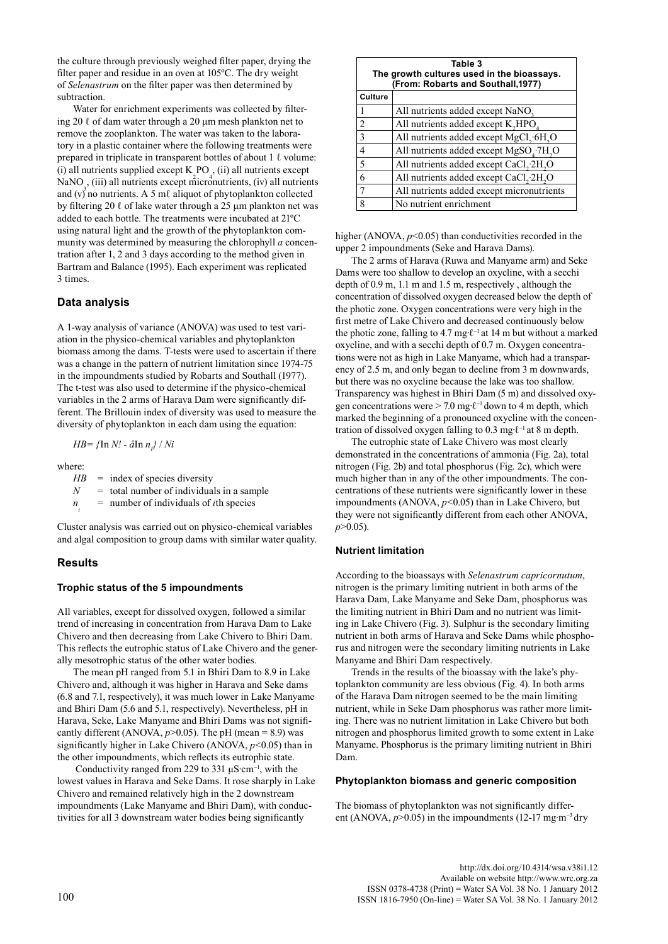the culture through previously weighed filter paper, drying the filter paper and residue in an oven at 105ºC. The dry weight of *Selenastrum* on the filter paper was then determined by subtraction.

Water for enrichment experiments was collected by filtering 20  $\ell$  of dam water through a 20  $\mu$ m mesh plankton net to remove the zooplankton. The water was taken to the laboratory in a plastic container where the following treatments were prepared in triplicate in transparent bottles of about 1  $\ell$  volume: (i) all nutrients supplied except  $K_2PO_4$ , (ii) all nutrients except NaNO<sub>3</sub>, (iii) all nutrients except micronutrients, (iv) all nutrients and  $(v)$  no nutrients. A 5 m $\ell$  aliquot of phytoplankton collected by filtering 20  $\ell$  of lake water through a 25  $\mu$ m plankton net was added to each bottle. The treatments were incubated at 21ºC using natural light and the growth of the phytoplankton community was determined by measuring the chlorophyll *a* concentration after 1, 2 and 3 days according to the method given in Bartram and Balance (1995). Each experiment was replicated 3 times.

## **Data analysis**

A 1-way analysis of variance (ANOVA) was used to test variation in the physico-chemical variables and phytoplankton biomass among the dams. T-tests were used to ascertain if there was a change in the pattern of nutrient limitation since 1974-75 in the impoundments studied by Robarts and Southall (1977). The t-test was also used to determine if the physico-chemical variables in the 2 arms of Harava Dam were significantly different. The Brillouin index of diversity was used to measure the diversity of phytoplankton in each dam using the equation:

*HB= {*In *N! - å*In *n1 }* / *Ni*

where:

 $HB =$  index of species diversity

 $N =$  total number of individuals in a sample

*n <sup>i</sup>* <sup>=</sup> number of individuals of *i*th species

Cluster analysis was carried out on physico-chemical variables and algal composition to group dams with similar water quality.

## **Results**

#### **Trophic status of the 5 impoundments**

All variables, except for dissolved oxygen, followed a similar trend of increasing in concentration from Harava Dam to Lake Chivero and then decreasing from Lake Chivero to Bhiri Dam. This reflects the eutrophic status of Lake Chivero and the generally mesotrophic status of the other water bodies.

The mean pH ranged from 5.1 in Bhiri Dam to 8.9 in Lake Chivero and, although it was higher in Harava and Seke dams (6.8 and 7.1, respectively), it was much lower in Lake Manyame and Bhiri Dam (5.6 and 5.1, respectively). Nevertheless, pH in Harava, Seke, Lake Manyame and Bhiri Dams was not significantly different (ANOVA,  $p > 0.05$ ). The pH (mean = 8.9) was significantly higher in Lake Chivero (ANOVA,  $p$ <0.05) than in the other impoundments, which reflects its eutrophic state.

Conductivity ranged from 229 to 331  $\mu$ S⋅cm<sup>-1</sup>, with the lowest values in Harava and Seke Dams. It rose sharply in Lake Chivero and remained relatively high in the 2 downstream impoundments (Lake Manyame and Bhiri Dam), with conductivities for all 3 downstream water bodies being significantly

| Table 3<br>The growth cultures used in the bioassays.<br>(From: Robarts and Southall, 1977) |                                                            |  |  |  |  |
|---------------------------------------------------------------------------------------------|------------------------------------------------------------|--|--|--|--|
| Culture                                                                                     |                                                            |  |  |  |  |
|                                                                                             | All nutrients added except NaNO.                           |  |  |  |  |
| $\mathfrak{D}$                                                                              | All nutrients added except K <sub>2</sub> HPO <sub>4</sub> |  |  |  |  |
| $\mathbf{3}$                                                                                | All nutrients added except MgCl, 6H, O                     |  |  |  |  |
| 4                                                                                           | All nutrients added except MgSO, 7H, O                     |  |  |  |  |
| 5                                                                                           | All nutrients added except CaCl, 2H, O                     |  |  |  |  |
| 6                                                                                           | All nutrients added except CaCl, 2H, O                     |  |  |  |  |
| 7                                                                                           | All nutrients added except micronutrients                  |  |  |  |  |
| 8                                                                                           | No nutrient enrichment                                     |  |  |  |  |

higher (ANOVA,  $p<0.05$ ) than conductivities recorded in the upper 2 impoundments (Seke and Harava Dams).

The 2 arms of Harava (Ruwa and Manyame arm) and Seke Dams were too shallow to develop an oxycline, with a secchi depth of 0.9 m, 1.1 m and 1.5 m, respectively , although the concentration of dissolved oxygen decreased below the depth of the photic zone. Oxygen concentrations were very high in the first metre of Lake Chivero and decreased continuously below the photic zone, falling to 4.7 mg∙ℓ–1 at 14 m but without a marked oxycline, and with a secchi depth of 0.7 m. Oxygen concentrations were not as high in Lake Manyame, which had a transparency of 2.5 m, and only began to decline from 3 m downwards, but there was no oxycline because the lake was too shallow. Transparency was highest in Bhiri Dam (5 m) and dissolved oxygen concentrations were > 7.0 mg⋅ $\ell$ <sup>-1</sup> down to 4 m depth, which marked the beginning of a pronounced oxycline with the concentration of dissolved oxygen falling to 0.3 mg⋅ $\ell$ <sup>-1</sup> at 8 m depth.

The eutrophic state of Lake Chivero was most clearly demonstrated in the concentrations of ammonia (Fig. 2a), total nitrogen (Fig. 2b) and total phosphorus (Fig. 2c), which were much higher than in any of the other impoundments. The concentrations of these nutrients were significantly lower in these impoundments (ANOVA, *p*<0.05) than in Lake Chivero, but they were not significantly different from each other ANOVA, *p*>0.05).

## **Nutrient limitation**

According to the bioassays with *Selenastrum capricornutum*, nitrogen is the primary limiting nutrient in both arms of the Harava Dam, Lake Manyame and Seke Dam, phosphorus was the limiting nutrient in Bhiri Dam and no nutrient was limiting in Lake Chivero (Fig. 3). Sulphur is the secondary limiting nutrient in both arms of Harava and Seke Dams while phosphorus and nitrogen were the secondary limiting nutrients in Lake Manyame and Bhiri Dam respectively.

Trends in the results of the bioassay with the lake's phytoplankton community are less obvious (Fig. 4). In both arms of the Harava Dam nitrogen seemed to be the main limiting nutrient, while in Seke Dam phosphorus was rather more limiting. There was no nutrient limitation in Lake Chivero but both nitrogen and phosphorus limited growth to some extent in Lake Manyame. Phosphorus is the primary limiting nutrient in Bhiri Dam.

#### **Phytoplankton biomass and generic composition**

The biomass of phytoplankton was not significantly different (ANOVA, *p*>0.05) in the impoundments (12-17 mg⋅m<sup>-3</sup> dry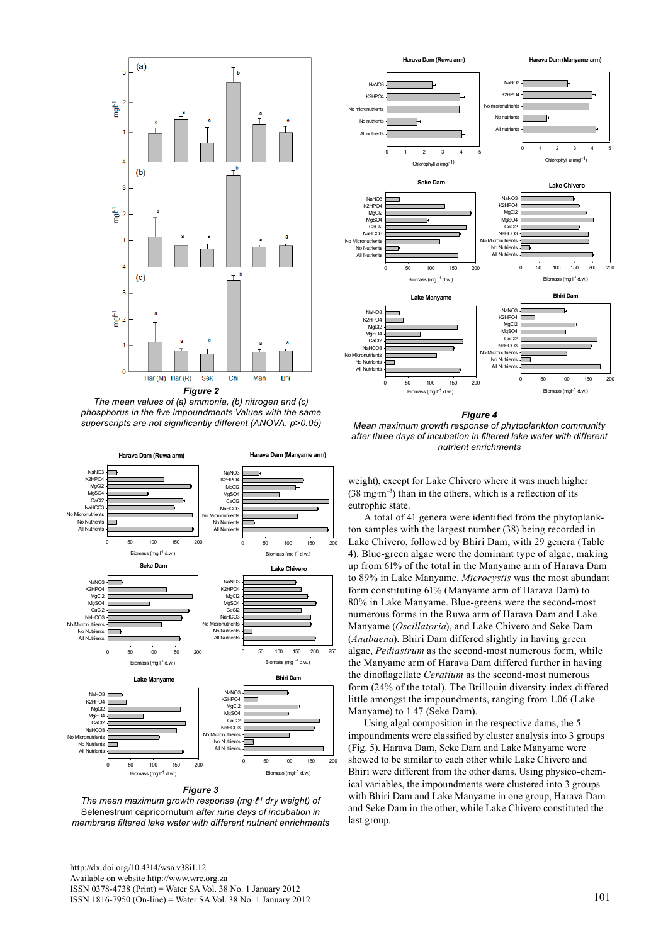

*The mean values of (a) ammonia, (b) nitrogen and (c) phosphorus in the five impoundments Values with the same superscripts are not significantly different (ANOVA, p>0.05)* **Harava Dam (Ruwa arm) Harava Dam (Manyame arm)**



## 0 50 100 150 200 *Figure 3*

*The mean maximum growth response (mg·* $*t*<sup>1</sup>$  *dry weight) of* Selenestrum capricornutum *after nine days of incubation in membrane filtered lake water with different nutrient enrichments*

[http://dx.doi.org/10.4314/wsa.v38i1.12](http://dx.doi.org/10.4314/wsa.v37i4.18) Available on website http://www.wrc.org.za ISSN 0378-4738 (Print) = Water SA Vol. 38 No. 1 January 2012 ISSN 1816-7950 (On-line) = Water SA Vol. 38 No. 1 January 2012 101



*Figure 4*

*Mean maximum growth response of phytoplankton community after three days of incubation in filtered lake water with different nutrient enrichments*

weight), except for Lake Chivero where it was much higher (38 mg∙m–3) than in the others, which is a reflection of its eutrophic state.

A total of 41 genera were identified from the phytoplankton samples with the largest number (38) being recorded in Lake Chivero, followed by Bhiri Dam, with 29 genera (Table 4). Blue-green algae were the dominant type of algae, making up from 61% of the total in the Manyame arm of Harava Dam to 89% in Lake Manyame. *Microcystis* was the most abundant form constituting 61% (Manyame arm of Harava Dam) to 80% in Lake Manyame. Blue-greens were the second-most numerous forms in the Ruwa arm of Harava Dam and Lake Manyame (*Oscillatoria*), and Lake Chivero and Seke Dam (*Anabaena*). Bhiri Dam differed slightly in having green algae, *Pediastrum* as the second-most numerous form, while the Manyame arm of Harava Dam differed further in having the dinoflagellate *Ceratium* as the second-most numerous form (24% of the total). The Brillouin diversity index differed little amongst the impoundments, ranging from 1.06 (Lake Manyame) to 1.47 (Seke Dam).

Using algal composition in the respective dams, the 5 impoundments were classified by cluster analysis into 3 groups (Fig. 5). Harava Dam, Seke Dam and Lake Manyame were showed to be similar to each other while Lake Chivero and Bhiri were different from the other dams. Using physico-chemical variables, the impoundments were clustered into 3 groups with Bhiri Dam and Lake Manyame in one group, Harava Dam and Seke Dam in the other, while Lake Chivero constituted the last group.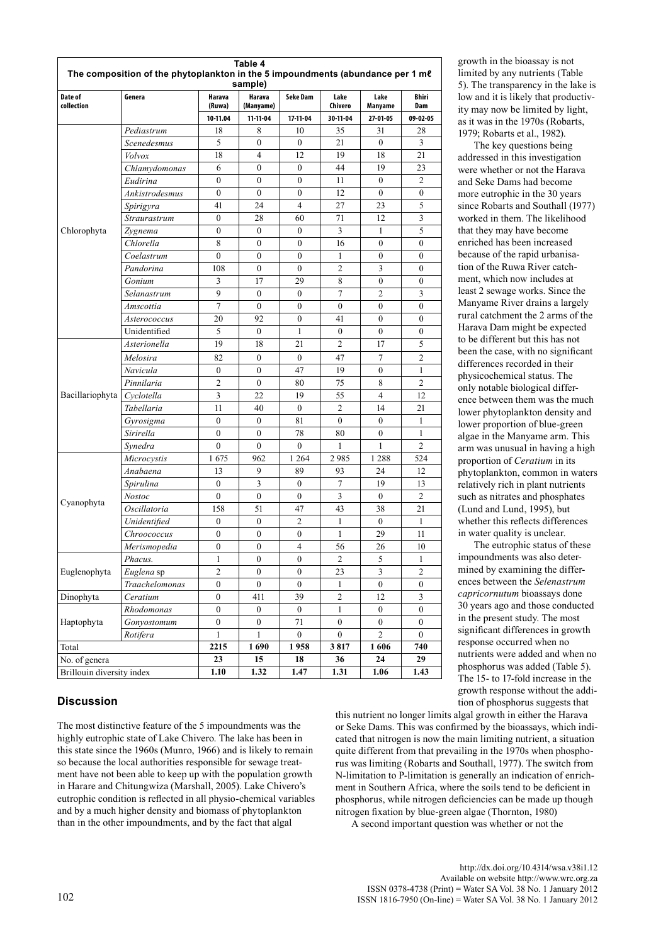| Table 4<br>The composition of the phytoplankton in the 5 impoundments (abundance per 1 me<br>sample) |                |                  |                     |                  |                  |                         |                         |
|------------------------------------------------------------------------------------------------------|----------------|------------------|---------------------|------------------|------------------|-------------------------|-------------------------|
| Date of<br>collection                                                                                | Genera         | Harava<br>(Ruwa) | Harava<br>(Manyame) | Seke Dam         | Lake<br>Chivero  | Lake<br>Manyame         | Bhiri<br>Dam            |
|                                                                                                      |                | 10-11.04         | 11-11-04            | 17-11-04         | 30-11-04         | 27-01-05                | 09-02-05                |
|                                                                                                      | Pediastrum     | 18               | 8                   | 10               | 35               | 31                      | 28                      |
|                                                                                                      | Scenedesmus    | 5                | $\mathbf{0}$        | $\boldsymbol{0}$ | 21               | $\boldsymbol{0}$        | 3                       |
|                                                                                                      | Volvox         | 18               | $\overline{4}$      | 12               | 19               | 18                      | 21                      |
|                                                                                                      | Chlamydomonas  | 6                | $\mathbf{0}$        | $\theta$         | 44               | 19                      | 23                      |
|                                                                                                      | Eudirina       | $\mathbf{0}$     | $\mathbf{0}$        | $\overline{0}$   | 11               | $\mathbf{0}$            | $\overline{2}$          |
|                                                                                                      | Ankistrodesmus | $\mathbf{0}$     | $\mathbf{0}$        | $\mathbf{0}$     | 12               | $\mathbf{0}$            | $\mathbf{0}$            |
|                                                                                                      | Spirigyra      | 41               | 24                  | 4                | 27               | 23                      | 5                       |
|                                                                                                      | Straurastrum   | $\boldsymbol{0}$ | 28                  | 60               | 71               | 12                      | 3                       |
| Chlorophyta                                                                                          | Zygnema        | 0                | $\mathbf{0}$        | 0                | 3                | 1                       | 5                       |
|                                                                                                      | Chlorella      | 8                | $\mathbf{0}$        | 0                | 16               | $\overline{0}$          | $\boldsymbol{0}$        |
|                                                                                                      | Coelastrum     | $\overline{0}$   | $\mathbf{0}$        | $\mathbf{0}$     | $\mathbf{1}$     | $\mathbf{0}$            | $\mathbf{0}$            |
|                                                                                                      | Pandorina      | 108              | $\mathbf{0}$        | 0                | $\overline{2}$   | 3                       | $\mathbf{0}$            |
|                                                                                                      | Gonium         | 3                | 17                  | 29               | 8                | $\mathbf{0}$            | $\mathbf{0}$            |
|                                                                                                      | Selanastrum    | 9                | $\mathbf{0}$        | 0                | 7                | 2                       | 3                       |
|                                                                                                      | Amscottia      | 7                | $\mathbf{0}$        | $\boldsymbol{0}$ | $\mathbf{0}$     | 0                       | 0                       |
|                                                                                                      | Asterococcus   | 20               | 92                  | $\mathbf{0}$     | 41               | $\boldsymbol{0}$        | $\mathbf{0}$            |
|                                                                                                      | Unidentified   | 5                | $\mathbf{0}$        | 1                | 0                | $\boldsymbol{0}$        | 0                       |
|                                                                                                      | Asterionella   | 19               | 18                  | 21               | $\overline{2}$   | 17                      | 5                       |
|                                                                                                      | Melosira       | 82               | $\mathbf{0}$        | $\boldsymbol{0}$ | 47               | 7                       | $\overline{2}$          |
|                                                                                                      | Navicula       | $\mathbf{0}$     | $\mathbf{0}$        | 47               | 19               | $\theta$                | 1                       |
|                                                                                                      | Pinnilaria     | 2                | $\mathbf{0}$        | 80               | 75               | 8                       | 2                       |
| Bacillariophyta                                                                                      | Cyclotella     | 3                | 22                  | 19               | 55               | 4                       | 12                      |
|                                                                                                      | Tabellaria     | 11               | 40                  | $\mathbf{0}$     | 2                | 14                      | 21                      |
|                                                                                                      | Gyrosigma      | $\boldsymbol{0}$ | $\mathbf{0}$        | 81               | $\mathbf{0}$     | 0                       | 1                       |
|                                                                                                      | Sirirella      | $\boldsymbol{0}$ | $\mathbf{0}$        | 78               | 80               | 0                       | 1                       |
|                                                                                                      | Synedra        | $\overline{0}$   | $\mathbf{0}$        | $\mathbf{0}$     | 1                | 1                       | 2                       |
|                                                                                                      | Microcystis    | 1675             | 962                 | 1 2 6 4          | 2985             | 1288                    | 524                     |
|                                                                                                      | Anabaena       | 13               | 9                   | 89               | 93               | 24                      | 12                      |
|                                                                                                      | Spirulina      | $\mathbf{0}$     | 3                   | $\mathbf{0}$     | $\overline{7}$   | 19                      | 13                      |
|                                                                                                      | Nostoc         | $\boldsymbol{0}$ | $\boldsymbol{0}$    | $\mathbf{0}$     | 3                | $\boldsymbol{0}$        | $\overline{c}$          |
| Cyanophyta                                                                                           | Oscillatoria   | 158              | 51                  | 47               | 43               | 38                      | 21                      |
|                                                                                                      | Unidentified   | 0                | 0                   | $\overline{2}$   | 1                | $\boldsymbol{0}$        | 1                       |
|                                                                                                      | Chroococcus    | $\mathbf{0}$     | $\boldsymbol{0}$    | 0                | 1                | 29                      | 11                      |
|                                                                                                      | Merismopedia   | $\boldsymbol{0}$ | $\boldsymbol{0}$    | 4                | 56               | 26                      | 10                      |
| Euglenophyta                                                                                         | Phacus.        | $\mathbf{1}$     | $\boldsymbol{0}$    | $\boldsymbol{0}$ | $\sqrt{2}$       | 5                       | $\mathbf{1}$            |
|                                                                                                      | Euglena sp     | $\overline{2}$   | $\mathbf{0}$        | $\overline{0}$   | 23               | $\overline{\mathbf{3}}$ | $\overline{2}$          |
|                                                                                                      | Traachelomonas | $\boldsymbol{0}$ | $\boldsymbol{0}$    | $\boldsymbol{0}$ | $\mathbf{1}$     | $\boldsymbol{0}$        | $\boldsymbol{0}$        |
| Dinophyta                                                                                            | Ceratium       | $\boldsymbol{0}$ | 411                 | 39               | $\overline{2}$   | 12                      | $\overline{\mathbf{3}}$ |
|                                                                                                      | Rhodomonas     | $\boldsymbol{0}$ | $\boldsymbol{0}$    | $\boldsymbol{0}$ | 1                | $\mathbf{0}$            | $\boldsymbol{0}$        |
| Haptophyta                                                                                           | Gonyostomum    | $\boldsymbol{0}$ | 0                   | 71               | $\boldsymbol{0}$ | $\boldsymbol{0}$        | $\overline{0}$          |
|                                                                                                      | Rotifera       | 1                | 1                   | $\boldsymbol{0}$ | 0                | $\overline{c}$          | $\boldsymbol{0}$        |
| Total                                                                                                |                | 2215             | 1690                | 1958             | 3817             | 1606                    | 740                     |
| No. of genera                                                                                        |                | 23               | 15                  | 18               | 36               | 24                      | 29                      |
| Brillouin diversity index                                                                            |                | 1.10             | 1.32                | 1.47             | 1.31             | 1.06                    | 1.43                    |

## **Discussion**

The most distinctive feature of the 5 impoundments was the highly eutrophic state of Lake Chivero. The lake has been in this state since the 1960s (Munro, 1966) and is likely to remain so because the local authorities responsible for sewage treatment have not been able to keep up with the population growth in Harare and Chitungwiza (Marshall, 2005). Lake Chivero's eutrophic condition is reflected in all physio-chemical variables and by a much higher density and biomass of phytoplankton than in the other impoundments, and by the fact that algal

growth in the bioassay is not limited by any nutrients (Table 5). The transparency in the lake is low and it is likely that productivity may now be limited by light, as it was in the 1970s (Robarts, 1979; Robarts et al., 1982).

The key questions being addressed in this investigation were whether or not the Harava and Seke Dams had become more eutrophic in the 30 years since Robarts and Southall (1977) worked in them. The likelihood that they may have become enriched has been increased because of the rapid urbanisation of the Ruwa River catchment, which now includes at least 2 sewage works. Since the Manyame River drains a largely rural catchment the 2 arms of the Harava Dam might be expected to be different but this has not been the case, with no significant differences recorded in their physicochemical status. The only notable biological difference between them was the much lower phytoplankton density and lower proportion of blue-green algae in the Manyame arm. This arm was unusual in having a high proportion of *Ceratium* in its phytoplankton, common in waters relatively rich in plant nutrients such as nitrates and phosphates (Lund and Lund, 1995), but whether this reflects differences in water quality is unclear.

The eutrophic status of these impoundments was also determined by examining the differences between the *Selenastrum capricornutum* bioassays done 30 years ago and those conducted in the present study. The most significant differences in growth response occurred when no nutrients were added and when no phosphorus was added (Table 5). The 15- to 17-fold increase in the growth response without the addition of phosphorus suggests that

this nutrient no longer limits algal growth in either the Harava or Seke Dams. This was confirmed by the bioassays, which indicated that nitrogen is now the main limiting nutrient, a situation quite different from that prevailing in the 1970s when phosphorus was limiting (Robarts and Southall, 1977). The switch from N-limitation to P-limitation is generally an indication of enrichment in Southern Africa, where the soils tend to be deficient in phosphorus, while nitrogen deficiencies can be made up though nitrogen fixation by blue-green algae (Thornton, 1980)

A second important question was whether or not the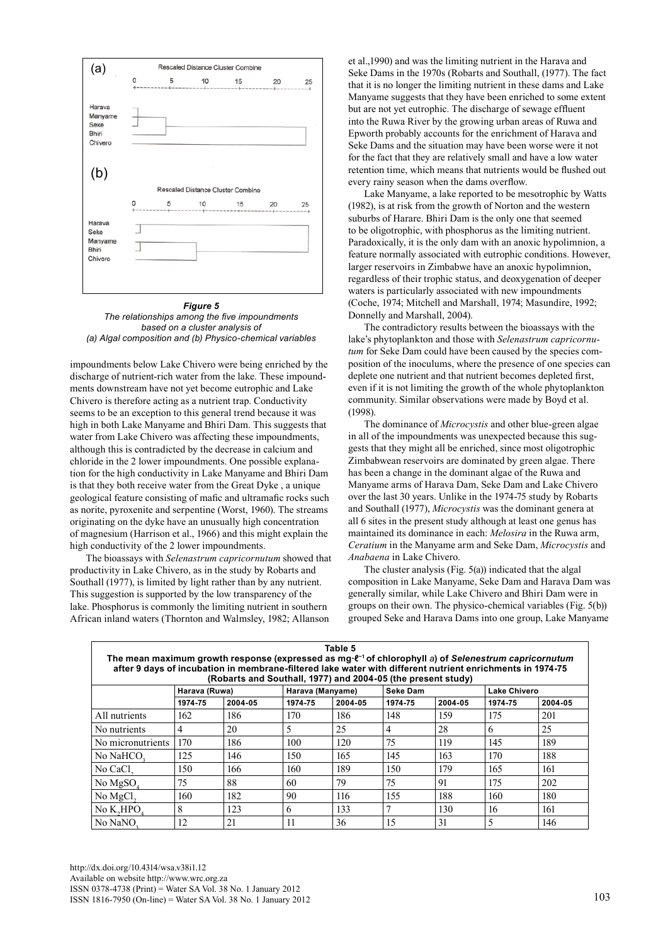



impoundments below Lake Chivero were being enriched by the discharge of nutrient-rich water from the lake. These impoundments downstream have not yet become eutrophic and Lake Chivero is therefore acting as a nutrient trap. Conductivity seems to be an exception to this general trend because it was high in both Lake Manyame and Bhiri Dam. This suggests that water from Lake Chivero was affecting these impoundments, although this is contradicted by the decrease in calcium and chloride in the 2 lower impoundments. One possible explanation for the high conductivity in Lake Manyame and Bhiri Dam is that they both receive water from the Great Dyke , a unique geological feature consisting of mafic and ultramafic rocks such as norite, pyroxenite and serpentine (Worst, 1960). The streams originating on the dyke have an unusually high concentration of magnesium (Harrison et al., 1966) and this might explain the high conductivity of the 2 lower impoundments.

The bioassays with *Selenastrum capricornutum* showed that productivity in Lake Chivero, as in the study by Robarts and Southall (1977), is limited by light rather than by any nutrient. This suggestion is supported by the low transparency of the lake. Phosphorus is commonly the limiting nutrient in southern African inland waters (Thornton and Walmsley, 1982; Allanson

et al.,1990) and was the limiting nutrient in the Harava and Seke Dams in the 1970s (Robarts and Southall, (1977). The fact that it is no longer the limiting nutrient in these dams and Lake Manyame suggests that they have been enriched to some extent but are not yet eutrophic. The discharge of sewage effluent into the Ruwa River by the growing urban areas of Ruwa and Epworth probably accounts for the enrichment of Harava and Seke Dams and the situation may have been worse were it not for the fact that they are relatively small and have a low water retention time, which means that nutrients would be flushed out every rainy season when the dams overflow.

Lake Manyame, a lake reported to be mesotrophic by Watts (1982), is at risk from the growth of Norton and the western suburbs of Harare. Bhiri Dam is the only one that seemed to be oligotrophic, with phosphorus as the limiting nutrient. Paradoxically, it is the only dam with an anoxic hypolimnion, a feature normally associated with eutrophic conditions. However, larger reservoirs in Zimbabwe have an anoxic hypolimnion, regardless of their trophic status, and deoxygenation of deeper waters is particularly associated with new impoundments (Coche, 1974; Mitchell and Marshall, 1974; Masundire, 1992; Donnelly and Marshall, 2004).

The contradictory results between the bioassays with the lake's phytoplankton and those with *Selenastrum capricornutum* for Seke Dam could have been caused by the species composition of the inoculums, where the presence of one species can deplete one nutrient and that nutrient becomes depleted first, even if it is not limiting the growth of the whole phytoplankton community. Similar observations were made by Boyd et al. (1998).

The dominance of *Microcystis* and other blue-green algae in all of the impoundments was unexpected because this suggests that they might all be enriched, since most oligotrophic Zimbabwean reservoirs are dominated by green algae. There has been a change in the dominant algae of the Ruwa and Manyame arms of Harava Dam, Seke Dam and Lake Chivero over the last 30 years. Unlike in the 1974-75 study by Robarts and Southall (1977), *Microcystis* was the dominant genera at all 6 sites in the present study although at least one genus has maintained its dominance in each: *Melosira* in the Ruwa arm, *Ceratium* in the Manyame arm and Seke Dam, *Microcystis* and *Anabaena* in Lake Chivero.

The cluster analysis (Fig. 5(a)) indicated that the algal composition in Lake Manyame, Seke Dam and Harava Dam was generally similar, while Lake Chivero and Bhiri Dam were in groups on their own. The physico-chemical variables (Fig. 5(b)) grouped Seke and Harava Dams into one group, Lake Manyame

| Table 5<br>The mean maximum growth response (expressed as mg $\ell^{-1}$ of chlorophyll a) of Selenestrum capricornutum<br>after 9 days of incubation in membrane-filtered lake water with different nutrient enrichments in 1974-75<br>(Robarts and Southall, 1977) and 2004-05 (the present study) |               |         |         |                                     |         |                     |         |         |
|------------------------------------------------------------------------------------------------------------------------------------------------------------------------------------------------------------------------------------------------------------------------------------------------------|---------------|---------|---------|-------------------------------------|---------|---------------------|---------|---------|
|                                                                                                                                                                                                                                                                                                      | Harava (Ruwa) |         |         | Harava (Manyame)<br><b>Seke Dam</b> |         | <b>Lake Chivero</b> |         |         |
|                                                                                                                                                                                                                                                                                                      | 1974-75       | 2004-05 | 1974-75 | 2004-05                             | 1974-75 | 2004-05             | 1974-75 | 2004-05 |
| All nutrients                                                                                                                                                                                                                                                                                        | 162           | 186     | 170     | 186                                 | 148     | 159                 | 175     | 201     |
| No nutrients                                                                                                                                                                                                                                                                                         | 4             | 20      |         | 25                                  | 4       | 28                  | 6       | 25      |
| No micronutrients                                                                                                                                                                                                                                                                                    | 170           | 186     | 100     | 120                                 | 75      | 119                 | 145     | 189     |
| No NaHCO.                                                                                                                                                                                                                                                                                            | 125           | 146     | 150     | 165                                 | 145     | 163                 | 170     | 188     |
| No CaCl.                                                                                                                                                                                                                                                                                             | 150           | 166     | 160     | 189                                 | 150     | 179                 | 165     | 161     |
| No MgSO                                                                                                                                                                                                                                                                                              | 75            | 88      | 60      | 79                                  | 75      | 91                  | 175     | 202     |
| No MgCl <sub>2</sub>                                                                                                                                                                                                                                                                                 | 160           | 182     | 90      | 116                                 | 155     | 188                 | 160     | 180     |
| No K <sub>n</sub> HPO                                                                                                                                                                                                                                                                                | 8             | 123     | 6       | 133                                 | 7       | 130                 | 16      | 161     |
| No NaNO.                                                                                                                                                                                                                                                                                             | 12            | 21      | 11      | 36                                  | 15      | 31                  | 5       | 146     |